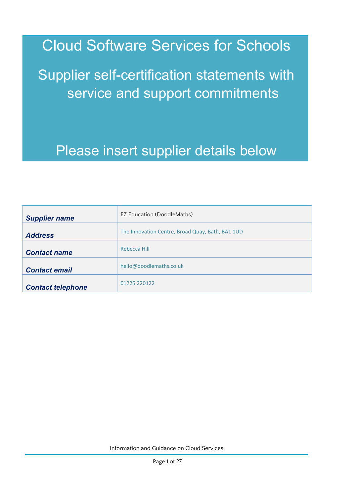Cloud Software Services for Schools

Supplier self-certification statements with service and support commitments

# Please insert supplier details below

| <b>Supplier name</b>     | <b>EZ Education (DoodleMaths)</b>                |
|--------------------------|--------------------------------------------------|
| <b>Address</b>           | The Innovation Centre, Broad Quay, Bath, BA1 1UD |
| <b>Contact name</b>      | Rebecca Hill                                     |
| <b>Contact email</b>     | hello@doodlemaths.co.uk                          |
| <b>Contact telephone</b> | 01225 220122                                     |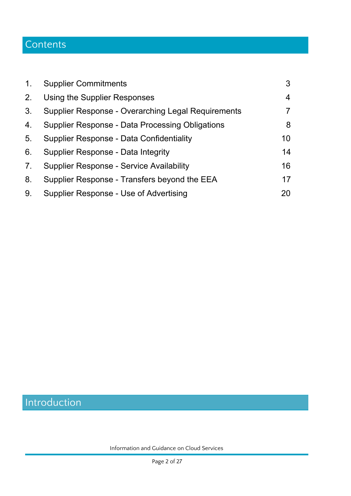# **Contents**

| 1 <sub>1</sub>                   | <b>Supplier Commitments</b>                            | 3              |
|----------------------------------|--------------------------------------------------------|----------------|
| 2.                               | Using the Supplier Responses                           | $\overline{4}$ |
| 3.                               | Supplier Response - Overarching Legal Requirements     | 7              |
| 4.                               | <b>Supplier Response - Data Processing Obligations</b> | 8              |
| 5.                               | Supplier Response - Data Confidentiality               | 10             |
| 6.                               | Supplier Response - Data Integrity                     | 14             |
| $7_{\scriptscriptstyle{\ddots}}$ | <b>Supplier Response - Service Availability</b>        | 16             |
| 8.                               | Supplier Response - Transfers beyond the EEA           | 17             |
| 9.                               | Supplier Response - Use of Advertising                 | 20             |

# Introduction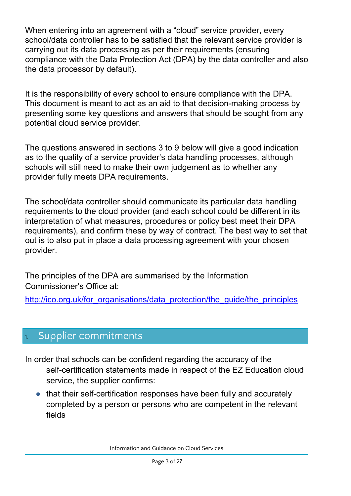When entering into an agreement with a "cloud" service provider, every school/data controller has to be satisfied that the relevant service provider is carrying out its data processing as per their requirements (ensuring compliance with the Data Protection Act (DPA) by the data controller and also the data processor by default).

It is the responsibility of every school to ensure compliance with the DPA. This document is meant to act as an aid to that decision-making process by presenting some key questions and answers that should be sought from any potential cloud service provider.

The questions answered in sections 3 to 9 below will give a good indication as to the quality of a service provider's data handling processes, although schools will still need to make their own judgement as to whether any provider fully meets DPA requirements.

The school/data controller should communicate its particular data handling requirements to the cloud provider (and each school could be different in its interpretation of what measures, procedures or policy best meet their DPA requirements), and confirm these by way of contract. The best way to set that out is to also put in place a data processing agreement with your chosen provider.

The principles of the DPA are summarised by the Information Commissioner's Office at:

[http://ico.org.uk/for\\_organisations/data\\_protection/the\\_guide/the\\_principles](http://ico.org.uk/for_organisations/data_protection/the_guide/the_principles)

## <span id="page-2-0"></span>Supplier commitments

- In order that schools can be confident regarding the accuracy of the self-certification statements made in respect of the EZ Education cloud service, the supplier confirms:
	- that their self-certification responses have been fully and accurately completed by a person or persons who are competent in the relevant fields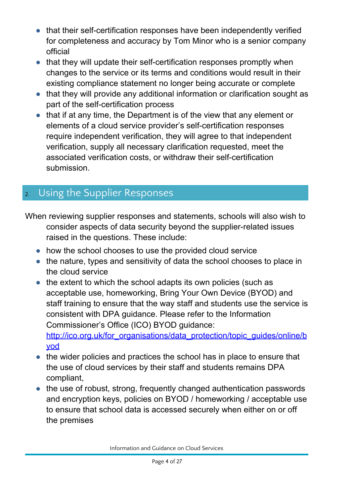- that their self-certification responses have been independently verified for completeness and accuracy by Tom Minor who is a senior company official
- that they will update their self-certification responses promptly when changes to the service or its terms and conditions would result in their existing compliance statement no longer being accurate or complete
- that they will provide any additional information or clarification sought as part of the self-certification process
- that if at any time, the Department is of the view that any element or elements of a cloud service provider's self-certification responses require independent verification, they will agree to that independent verification, supply all necessary clarification requested, meet the associated verification costs, or withdraw their self-certification submission.

## <span id="page-3-0"></span>2. Using the Supplier Responses

- When reviewing supplier responses and statements, schools will also wish to consider aspects of data security beyond the supplier-related issues raised in the questions. These include:
	- how the school chooses to use the provided cloud service
	- the nature, types and sensitivity of data the school chooses to place in the cloud service
	- the extent to which the school adapts its own policies (such as acceptable use, homeworking, Bring Your Own Device (BYOD) and staff training to ensure that the way staff and students use the service is consistent with DPA guidance. Please refer to the Information Commissioner's Office (ICO) BYOD guidance: [http://ico.org.uk/for\\_organisations/data\\_protection/topic\\_guides/online/b](http://ico.org.uk/for_organisations/data_protection/topic_guides/online/byod) [yod](http://ico.org.uk/for_organisations/data_protection/topic_guides/online/byod)
	- the wider policies and practices the school has in place to ensure that the use of cloud services by their staff and students remains DPA compliant,
	- the use of robust, strong, frequently changed authentication passwords and encryption keys, policies on BYOD / homeworking / acceptable use to ensure that school data is accessed securely when either on or off the premises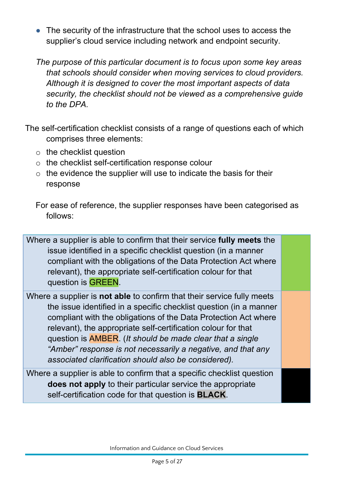● The security of the infrastructure that the school uses to access the supplier's cloud service including network and endpoint security.

*The purpose of this particular document is to focus upon some key areas that schools should consider when moving services to cloud providers. Although it is designed to cover the most important aspects of data security, the checklist should not be viewed as a comprehensive guide to the DPA.*

The self-certification checklist consists of a range of questions each of which comprises three elements:

- $\circ$  the checklist question
- o the checklist self-certification response colour
- $\circ$  the evidence the supplier will use to indicate the basis for their response

For ease of reference, the supplier responses have been categorised as follows:

Where a supplier is able to confirm that their service **fully meets** the issue identified in a specific checklist question (in a manner compliant with the obligations of the Data Protection Act where relevant), the appropriate self-certification colour for that question is GREEN.

Where a supplier is **not able** to confirm that their service fully meets the issue identified in a specific checklist question (in a manner compliant with the obligations of the Data Protection Act where relevant), the appropriate self-certification colour for that question is AMBER. (*It should be made clear that a single "Amber" response is not necessarily a negative, and that any associated clarification should also be considered).*

Where a supplier is able to confirm that a specific checklist question **does not apply** to their particular service the appropriate self-certification code for that question is **BLACK**.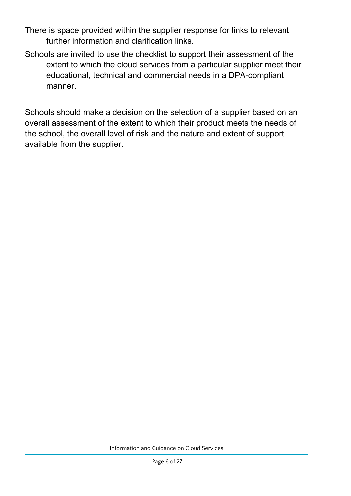- There is space provided within the supplier response for links to relevant further information and clarification links.
- Schools are invited to use the checklist to support their assessment of the extent to which the cloud services from a particular supplier meet their educational, technical and commercial needs in a DPA-compliant manner.

Schools should make a decision on the selection of a supplier based on an overall assessment of the extent to which their product meets the needs of the school, the overall level of risk and the nature and extent of support available from the supplier.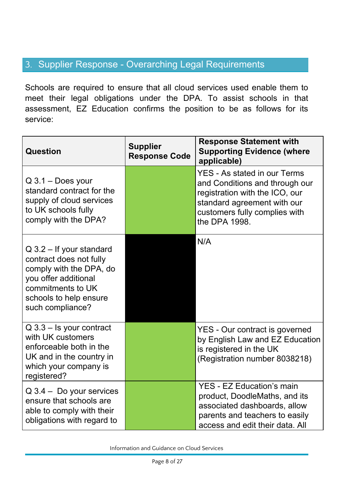## <span id="page-7-0"></span>3. Supplier Response - Overarching Legal Requirements

Schools are required to ensure that all cloud services used enable them to meet their legal obligations under the DPA. To assist schools in that assessment, EZ Education confirms the position to be as follows for its service:

| Question                                                                                                                                                                    | <b>Supplier</b><br><b>Response Code</b> | <b>Response Statement with</b><br><b>Supporting Evidence (where</b><br>applicable)                                                                                                       |
|-----------------------------------------------------------------------------------------------------------------------------------------------------------------------------|-----------------------------------------|------------------------------------------------------------------------------------------------------------------------------------------------------------------------------------------|
| $Q$ 3.1 – Does your<br>standard contract for the<br>supply of cloud services<br>to UK schools fully<br>comply with the DPA?                                                 |                                         | <b>YES - As stated in our Terms</b><br>and Conditions and through our<br>registration with the ICO, our<br>standard agreement with our<br>customers fully complies with<br>the DPA 1998. |
| $Q$ 3.2 – If your standard<br>contract does not fully<br>comply with the DPA, do<br>you offer additional<br>commitments to UK<br>schools to help ensure<br>such compliance? |                                         | N/A                                                                                                                                                                                      |
| $Q$ 3.3 – Is your contract<br>with UK customers<br>enforceable both in the<br>UK and in the country in<br>which your company is<br>registered?                              |                                         | <b>YES</b> - Our contract is governed<br>by English Law and EZ Education<br>is registered in the UK<br>(Registration number 8038218)                                                     |
| $Q$ 3.4 – Do your services<br>ensure that schools are<br>able to comply with their<br>obligations with regard to                                                            |                                         | <b>YES - EZ Education's main</b><br>product, DoodleMaths, and its<br>associated dashboards, allow<br>parents and teachers to easily<br>access and edit their data. All                   |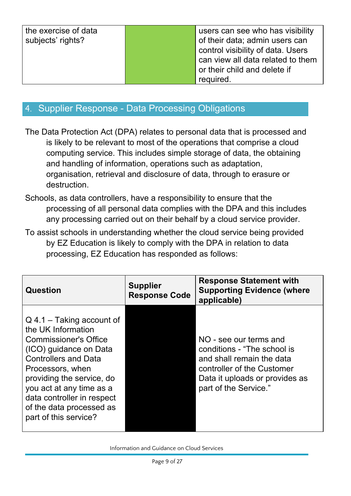| the exercise of data<br>subjects' rights? | users can see who has visibility<br>of their data; admin users can<br>control visibility of data. Users<br>can view all data related to them<br>or their child and delete if |
|-------------------------------------------|------------------------------------------------------------------------------------------------------------------------------------------------------------------------------|
|                                           | required.                                                                                                                                                                    |

### <span id="page-8-0"></span>4. Supplier Response - Data Processing Obligations

The Data Protection Act (DPA) relates to personal data that is processed and is likely to be relevant to most of the operations that comprise a cloud computing service. This includes simple storage of data, the obtaining and handling of information, operations such as adaptation, organisation, retrieval and disclosure of data, through to erasure or destruction.

- Schools, as data controllers, have a responsibility to ensure that the processing of all personal data complies with the DPA and this includes any processing carried out on their behalf by a cloud service provider.
- To assist schools in understanding whether the cloud service being provided by EZ Education is likely to comply with the DPA in relation to data processing, EZ Education has responded as follows:

| <b>Question</b>                                                                                                                                                                                                                                                                                            | <b>Supplier</b><br><b>Response Code</b> | <b>Response Statement with</b><br><b>Supporting Evidence (where</b><br>applicable)                                                                                          |
|------------------------------------------------------------------------------------------------------------------------------------------------------------------------------------------------------------------------------------------------------------------------------------------------------------|-----------------------------------------|-----------------------------------------------------------------------------------------------------------------------------------------------------------------------------|
| $Q$ 4.1 – Taking account of<br>the UK Information<br><b>Commissioner's Office</b><br>(ICO) guidance on Data<br><b>Controllers and Data</b><br>Processors, when<br>providing the service, do<br>you act at any time as a<br>data controller in respect<br>of the data processed as<br>part of this service? |                                         | NO - see our terms and<br>conditions - "The school is<br>and shall remain the data<br>controller of the Customer<br>Data it uploads or provides as<br>part of the Service." |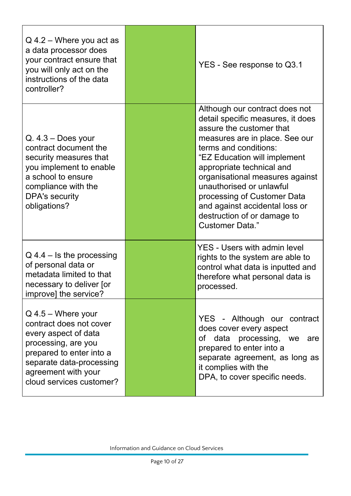| $Q$ 4.2 – Where you act as<br>a data processor does<br>your contract ensure that<br>you will only act on the<br>instructions of the data<br>controller?                                                   | YES - See response to Q3.1                                                                                                                                                                                                                                                                                                                                                                                |
|-----------------------------------------------------------------------------------------------------------------------------------------------------------------------------------------------------------|-----------------------------------------------------------------------------------------------------------------------------------------------------------------------------------------------------------------------------------------------------------------------------------------------------------------------------------------------------------------------------------------------------------|
| $Q. 4.3 - Does your$<br>contract document the<br>security measures that<br>you implement to enable<br>a school to ensure<br>compliance with the<br><b>DPA's security</b><br>obligations?                  | Although our contract does not<br>detail specific measures, it does<br>assure the customer that<br>measures are in place. See our<br>terms and conditions:<br>"EZ Education will implement<br>appropriate technical and<br>organisational measures against<br>unauthorised or unlawful<br>processing of Customer Data<br>and against accidental loss or<br>destruction of or damage to<br>Customer Data." |
| $Q$ 4.4 – Is the processing<br>of personal data or<br>metadata limited to that<br>necessary to deliver [or<br>improve] the service?                                                                       | <b>YES - Users with admin level</b><br>rights to the system are able to<br>control what data is inputted and<br>therefore what personal data is<br>processed.                                                                                                                                                                                                                                             |
| $Q$ 4.5 – Where your<br>contract does not cover<br>every aspect of data<br>processing, are you<br>prepared to enter into a<br>separate data-processing<br>agreement with your<br>cloud services customer? | YES - Although our contract<br>does cover every aspect<br>of data processing, we are<br>prepared to enter into a<br>separate agreement, as long as<br>it complies with the<br>DPA, to cover specific needs.                                                                                                                                                                                               |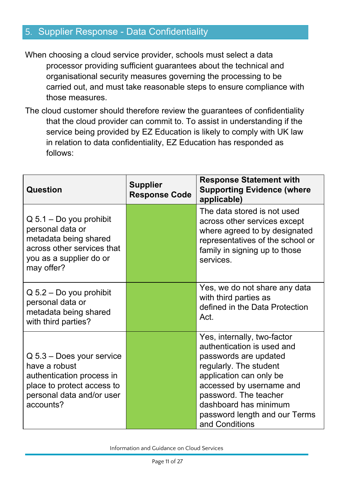## <span id="page-10-0"></span>5. Supplier Response - Data Confidentiality

When choosing a cloud service provider, schools must select a data processor providing sufficient guarantees about the technical and organisational security measures governing the processing to be carried out, and must take reasonable steps to ensure compliance with those measures.

The cloud customer should therefore review the guarantees of confidentiality that the cloud provider can commit to. To assist in understanding if the service being provided by EZ Education is likely to comply with UK law in relation to data confidentiality, EZ Education has responded as follows:

| <b>Question</b>                                                                                                                                   | <b>Supplier</b><br><b>Response Code</b> | <b>Response Statement with</b><br><b>Supporting Evidence (where</b><br>applicable)                                                                                                                                                                                       |
|---------------------------------------------------------------------------------------------------------------------------------------------------|-----------------------------------------|--------------------------------------------------------------------------------------------------------------------------------------------------------------------------------------------------------------------------------------------------------------------------|
| $Q$ 5.1 – Do you prohibit<br>personal data or<br>metadata being shared<br>across other services that<br>you as a supplier do or<br>may offer?     |                                         | The data stored is not used<br>across other services except<br>where agreed to by designated<br>representatives of the school or<br>family in signing up to those<br>services.                                                                                           |
| $Q$ 5.2 – Do you prohibit<br>personal data or<br>metadata being shared<br>with third parties?                                                     |                                         | Yes, we do not share any data<br>with third parties as<br>defined in the Data Protection<br>Act.                                                                                                                                                                         |
| $Q$ 5.3 – Does your service<br>have a robust<br>authentication process in<br>place to protect access to<br>personal data and/or user<br>accounts? |                                         | Yes, internally, two-factor<br>authentication is used and<br>passwords are updated<br>regularly. The student<br>application can only be<br>accessed by username and<br>password. The teacher<br>dashboard has minimum<br>password length and our Terms<br>and Conditions |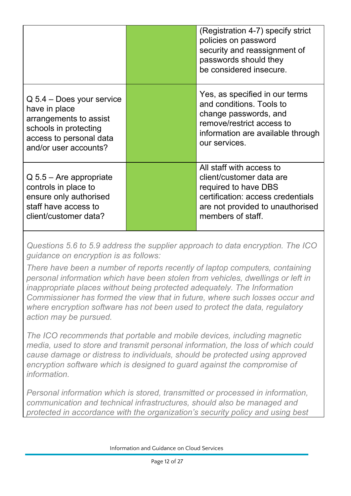|                                                                                                                                                     | (Registration 4-7) specify strict<br>policies on password<br>security and reassignment of<br>passwords should they<br>be considered insecure.                              |
|-----------------------------------------------------------------------------------------------------------------------------------------------------|----------------------------------------------------------------------------------------------------------------------------------------------------------------------------|
| $Q$ 5.4 – Does your service<br>have in place<br>arrangements to assist<br>schools in protecting<br>access to personal data<br>and/or user accounts? | Yes, as specified in our terms<br>and conditions. Tools to<br>change passwords, and<br>remove/restrict access to<br>information are available through<br>our services.     |
| $Q$ 5.5 – Are appropriate<br>controls in place to<br>ensure only authorised<br>staff have access to<br>client/customer data?                        | All staff with access to<br>client/customer data are<br>required to have DBS<br>certification: access credentials<br>are not provided to unauthorised<br>members of staff. |

*Questions 5.6 to 5.9 address the supplier approach to data encryption. The ICO guidance on encryption is as follows:*

*There have been a number of reports recently of laptop computers, containing personal information which have been stolen from vehicles, dwellings or left in inappropriate places without being protected adequately. The Information Commissioner has formed the view that in future, where such losses occur and where encryption software has not been used to protect the data, regulatory action may be pursued.*

*The ICO recommends that portable and mobile devices, including magnetic media, used to store and transmit personal information, the loss of which could cause damage or distress to individuals, should be protected using approved encryption software which is designed to guard against the compromise of information.*

*Personal information which is stored, transmitted or processed in information, communication and technical infrastructures, should also be managed and protected in accordance with the organization's security policy and using best*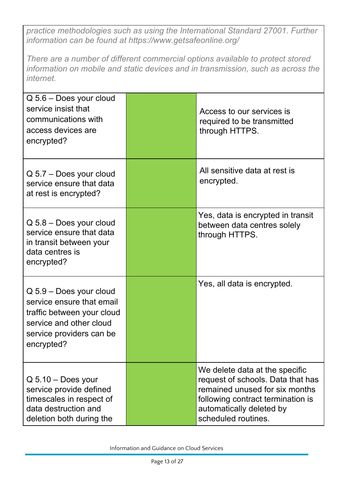*practice methodologies such as using the International Standard 27001. Further information can be found at https://www.getsafeonline.org/*

*There are a number of different commercial options available to protect stored information on mobile and static devices and in transmission, such as across the internet.*

| $Q$ 5.6 – Does your cloud<br>service insist that<br>communications with<br>access devices are<br>encrypted?                                             | Access to our services is<br>required to be transmitted<br>through HTTPS.                                                                                                                     |
|---------------------------------------------------------------------------------------------------------------------------------------------------------|-----------------------------------------------------------------------------------------------------------------------------------------------------------------------------------------------|
| $Q$ 5.7 – Does your cloud<br>service ensure that data<br>at rest is encrypted?                                                                          | All sensitive data at rest is<br>encrypted.                                                                                                                                                   |
| $Q$ 5.8 – Does your cloud<br>service ensure that data<br>in transit between your<br>data centres is<br>encrypted?                                       | Yes, data is encrypted in transit<br>between data centres solely<br>through HTTPS.                                                                                                            |
| Q 5.9 - Does your cloud<br>service ensure that email<br>traffic between your cloud<br>service and other cloud<br>service providers can be<br>encrypted? | Yes, all data is encrypted.                                                                                                                                                                   |
| $Q$ 5.10 – Does your<br>service provide defined<br>timescales in respect of<br>data destruction and<br>deletion both during the                         | We delete data at the specific<br>request of schools. Data that has<br>remained unused for six months<br>following contract termination is<br>automatically deleted by<br>scheduled routines. |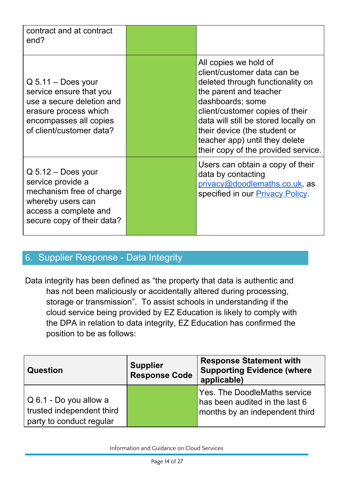| contract and at contract<br>end?                                                                                                                            |                                                                                                                                                                                                                                                                                                                            |
|-------------------------------------------------------------------------------------------------------------------------------------------------------------|----------------------------------------------------------------------------------------------------------------------------------------------------------------------------------------------------------------------------------------------------------------------------------------------------------------------------|
| $Q$ 5.11 – Does your<br>service ensure that you<br>use a secure deletion and<br>erasure process which<br>encompasses all copies<br>of client/customer data? | All copies we hold of<br>client/customer data can be<br>deleted through functionality on<br>the parent and teacher<br>dashboards; some<br>client/customer copies of their<br>data will still be stored locally on<br>their device (the student or<br>teacher app) until they delete<br>their copy of the provided service. |
| $Q$ 5.12 – Does your<br>service provide a<br>mechanism free of charge<br>whereby users can<br>access a complete and<br>secure copy of their data?           | Users can obtain a copy of their<br>data by contacting<br>privacy@doodlemaths.co.uk, as<br>specified in our <b>Privacy Policy</b> .                                                                                                                                                                                        |

### <span id="page-13-0"></span>6. Supplier Response - Data Integrity

Data integrity has been defined as "the property that data is authentic and has not been maliciously or accidentally altered during processing, storage or transmission". To assist schools in understanding if the cloud service being provided by EZ Education is likely to comply with the DPA in relation to data integrity, EZ Education has confirmed the position to be as follows:

| <b>Question</b>                                                                 | <b>Supplier</b><br><b>Response Code</b> | <b>Response Statement with</b><br><b>Supporting Evidence (where</b><br>applicable)                      |
|---------------------------------------------------------------------------------|-----------------------------------------|---------------------------------------------------------------------------------------------------------|
| Q 6.1 - Do you allow a<br>trusted independent third<br>party to conduct regular |                                         | <b>Yes. The DoodleMaths service</b><br>has been audited in the last 6<br>months by an independent third |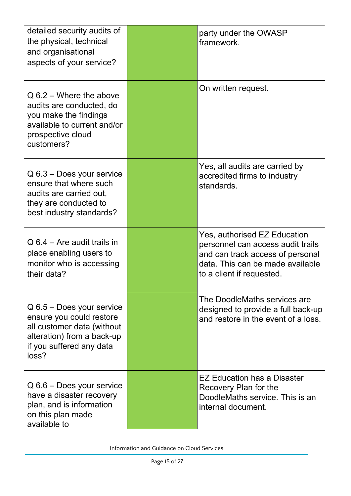| detailed security audits of<br>the physical, technical<br>and organisational<br>aspects of your service?                                                 | party under the OWASP<br>framework.                                                                                                                                    |
|----------------------------------------------------------------------------------------------------------------------------------------------------------|------------------------------------------------------------------------------------------------------------------------------------------------------------------------|
| $Q_6.2 -$ Where the above<br>audits are conducted, do<br>you make the findings<br>available to current and/or<br>prospective cloud<br>customers?         | On written request.                                                                                                                                                    |
| $Q$ 6.3 – Does your service<br>ensure that where such<br>audits are carried out,<br>they are conducted to<br>best industry standards?                    | Yes, all audits are carried by<br>accredited firms to industry<br>standards.                                                                                           |
| $Q$ 6.4 – Are audit trails in<br>place enabling users to<br>monitor who is accessing<br>their data?                                                      | Yes, authorised EZ Education<br>personnel can access audit trails<br>and can track access of personal<br>data. This can be made available<br>to a client if requested. |
| $Q$ 6.5 – Does your service<br>ensure you could restore<br>all customer data (without<br>alteration) from a back-up<br>if you suffered any data<br>loss? | The DoodleMaths services are<br>designed to provide a full back-up<br>and restore in the event of a loss.                                                              |
| Q 6.6 - Does your service<br>have a disaster recovery<br>plan, and is information<br>on this plan made<br>available to                                   | EZ Education has a Disaster<br>Recovery Plan for the<br>DoodleMaths service. This is an<br>internal document.                                                          |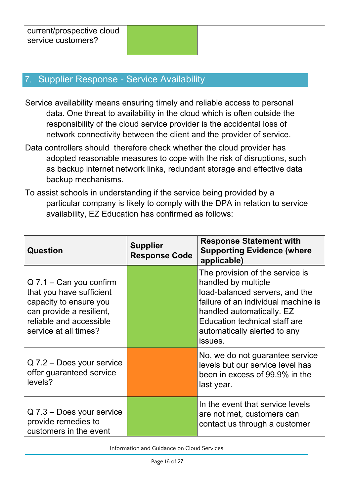### <span id="page-15-0"></span>Supplier Response - Service Availability

- Service availability means ensuring timely and reliable access to personal data. One threat to availability in the cloud which is often outside the responsibility of the cloud service provider is the accidental loss of network connectivity between the client and the provider of service.
- Data controllers should therefore check whether the cloud provider has adopted reasonable measures to cope with the risk of disruptions, such as backup internet network links, redundant storage and effective data backup mechanisms.
- To assist schools in understanding if the service being provided by a particular company is likely to comply with the DPA in relation to service availability, EZ Education has confirmed as follows:

| <b>Question</b>                                                                                                                                                 | <b>Supplier</b><br><b>Response Code</b> | <b>Response Statement with</b><br><b>Supporting Evidence (where</b><br>applicable)                                                                                                                                                              |
|-----------------------------------------------------------------------------------------------------------------------------------------------------------------|-----------------------------------------|-------------------------------------------------------------------------------------------------------------------------------------------------------------------------------------------------------------------------------------------------|
| $Q$ 7.1 – Can you confirm<br>that you have sufficient<br>capacity to ensure you<br>can provide a resilient,<br>reliable and accessible<br>service at all times? |                                         | The provision of the service is<br>handled by multiple<br>load-balanced servers, and the<br>failure of an individual machine is<br>handled automatically. EZ<br><b>Education technical staff are</b><br>automatically alerted to any<br>issues. |
| Q 7.2 - Does your service<br>offer guaranteed service<br>levels?                                                                                                |                                         | No, we do not guarantee service<br>levels but our service level has<br>been in excess of 99.9% in the<br>last year.                                                                                                                             |
| Q 7.3 - Does your service<br>provide remedies to<br>customers in the event                                                                                      |                                         | In the event that service levels<br>are not met, customers can<br>contact us through a customer                                                                                                                                                 |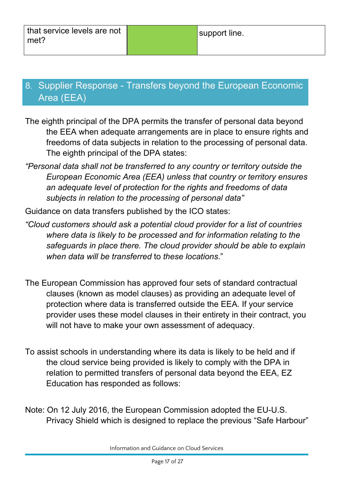## <span id="page-16-0"></span>8. Supplier Response - Transfers beyond the European Economic Area (EEA)

- The eighth principal of the DPA permits the transfer of personal data beyond the EEA when adequate arrangements are in place to ensure rights and freedoms of data subjects in relation to the processing of personal data. The eighth principal of the DPA states:
- *"Personal data shall not be transferred to any country or territory outside the European Economic Area (EEA) unless that country or territory ensures an adequate level of protection for the rights and freedoms of data subjects in relation to the processing of personal data"*
- Guidance on data transfers published by the ICO states:
- *"Cloud customers should ask a potential cloud provider for a list of countries where data is likely to be processed and for information relating to the safeguards in place there. The cloud provider should be able to explain when data will be transferred* to *these locations*."
- The European Commission has approved four sets of standard contractual clauses (known as model clauses) as providing an adequate level of protection where data is transferred outside the EEA. If your service provider uses these model clauses in their entirety in their contract, you will not have to make your own assessment of adequacy.
- To assist schools in understanding where its data is likely to be held and if the cloud service being provided is likely to comply with the DPA in relation to permitted transfers of personal data beyond the EEA, EZ Education has responded as follows:
- Note: On 12 July 2016, the European Commission adopted the EU-U.S. Privacy Shield which is designed to replace the previous "Safe Harbour"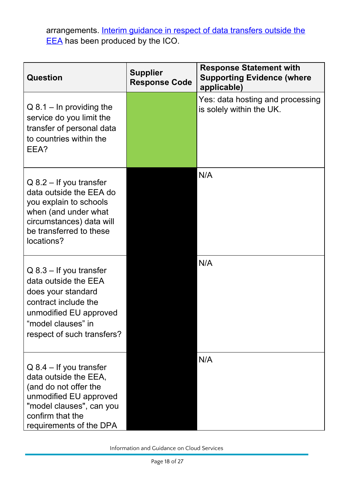arrangements. Interim [guidance](https://ico.org.uk/media/for-organisations/documents/1560653/data-transfers-to-the-us-and-safe-harbor-interim-guidance.pdf) in respect of data transfers outside the [EEA](https://ico.org.uk/media/for-organisations/documents/1560653/data-transfers-to-the-us-and-safe-harbor-interim-guidance.pdf) has been produced by the ICO.

| <b>Question</b>                                                                                                                                                                  | <b>Supplier</b><br><b>Response Code</b> | <b>Response Statement with</b><br><b>Supporting Evidence (where</b><br>applicable) |
|----------------------------------------------------------------------------------------------------------------------------------------------------------------------------------|-----------------------------------------|------------------------------------------------------------------------------------|
| $Q$ 8.1 – In providing the<br>service do you limit the<br>transfer of personal data<br>to countries within the<br>EEA?                                                           |                                         | Yes: data hosting and processing<br>is solely within the UK.                       |
| $Q$ 8.2 – If you transfer<br>data outside the EEA do<br>you explain to schools<br>when (and under what<br>circumstances) data will<br>be transferred to these<br>locations?      |                                         | N/A                                                                                |
| $Q$ 8.3 – If you transfer<br>data outside the EEA<br>does your standard<br>contract include the<br>unmodified EU approved<br>"model clauses" in<br>respect of such transfers?    |                                         | N/A                                                                                |
| $Q$ 8.4 – If you transfer<br>data outside the EEA,<br>(and do not offer the<br>unmodified EU approved<br>"model clauses", can you<br>confirm that the<br>requirements of the DPA |                                         | N/A                                                                                |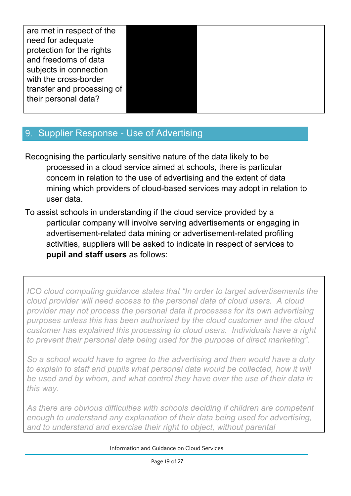| are met in respect of the  |  |  |
|----------------------------|--|--|
| need for adequate          |  |  |
| protection for the rights  |  |  |
| and freedoms of data       |  |  |
| subjects in connection     |  |  |
| with the cross-border      |  |  |
| transfer and processing of |  |  |
| their personal data?       |  |  |
|                            |  |  |

## <span id="page-18-0"></span>9. Supplier Response - Use of Advertising

- Recognising the particularly sensitive nature of the data likely to be processed in a cloud service aimed at schools, there is particular concern in relation to the use of advertising and the extent of data mining which providers of cloud-based services may adopt in relation to user data.
- To assist schools in understanding if the cloud service provided by a particular company will involve serving advertisements or engaging in advertisement-related data mining or advertisement-related profiling activities, suppliers will be asked to indicate in respect of services to **pupil and staff users** as follows:

*ICO cloud computing guidance states that "In order to target advertisements the cloud provider will need access to the personal data of cloud users. A cloud provider may not process the personal data it processes for its own advertising purposes unless this has been authorised by the cloud customer and the cloud customer has explained this processing to cloud users. Individuals have a right to prevent their personal data being used for the purpose of direct marketing".*

*So a school would have to agree to the advertising and then would have a duty to explain to staff and pupils what personal data would be collected, how it will be used and by whom, and what control they have over the use of their data in this way.*

*As there are obvious difficulties with schools deciding if children are competent enough to understand any explanation of their data being used for advertising, and to understand and exercise their right to object, without parental*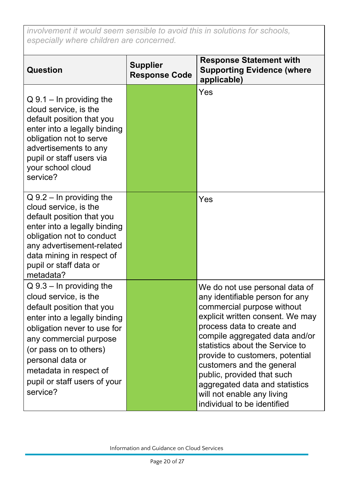*involvement it would seem sensible to avoid this in solutions for schools, especially where children are concerned.*

| <b>Question</b>                                                                                                                                                                                                                                                                             | <b>Supplier</b><br><b>Response Code</b> | <b>Response Statement with</b><br><b>Supporting Evidence (where</b><br>applicable)                                                                                                                                                                                                                                                                                                                                                  |
|---------------------------------------------------------------------------------------------------------------------------------------------------------------------------------------------------------------------------------------------------------------------------------------------|-----------------------------------------|-------------------------------------------------------------------------------------------------------------------------------------------------------------------------------------------------------------------------------------------------------------------------------------------------------------------------------------------------------------------------------------------------------------------------------------|
| $Q_2$ 9.1 – In providing the<br>cloud service, is the<br>default position that you<br>enter into a legally binding<br>obligation not to serve<br>advertisements to any<br>pupil or staff users via<br>your school cloud<br>service?                                                         |                                         | Yes                                                                                                                                                                                                                                                                                                                                                                                                                                 |
| $Q$ 9.2 – In providing the<br>cloud service, is the<br>default position that you<br>enter into a legally binding<br>obligation not to conduct<br>any advertisement-related<br>data mining in respect of<br>pupil or staff data or<br>metadata?                                              |                                         | Yes                                                                                                                                                                                                                                                                                                                                                                                                                                 |
| $Q_2 - In$ providing the<br>cloud service, is the<br>default position that you<br>enter into a legally binding<br>obligation never to use for<br>any commercial purpose<br>(or pass on to others)<br>personal data or<br>metadata in respect of<br>pupil or staff users of your<br>service? |                                         | We do not use personal data of<br>any identifiable person for any<br>commercial purpose without<br>explicit written consent. We may<br>process data to create and<br>compile aggregated data and/or<br>statistics about the Service to<br>provide to customers, potential<br>customers and the general<br>public, provided that such<br>aggregated data and statistics<br>will not enable any living<br>individual to be identified |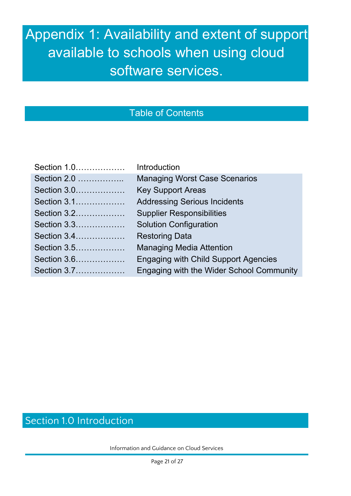# Appendix 1: Availability and extent of support available to schools when using cloud software services.

## Table of Contents

| Section 1.0 | Introduction                                |
|-------------|---------------------------------------------|
| Section 2.0 | <b>Managing Worst Case Scenarios</b>        |
| Section 3.0 | <b>Key Support Areas</b>                    |
| Section 3.1 | <b>Addressing Serious Incidents</b>         |
| Section 3.2 | <b>Supplier Responsibilities</b>            |
| Section 3.3 | <b>Solution Configuration</b>               |
| Section 3.4 | <b>Restoring Data</b>                       |
| Section 3.5 | <b>Managing Media Attention</b>             |
| Section 3.6 | <b>Engaging with Child Support Agencies</b> |
| Section 3.7 | Engaging with the Wider School Community    |
|             |                                             |

# Section 1.0 Introduction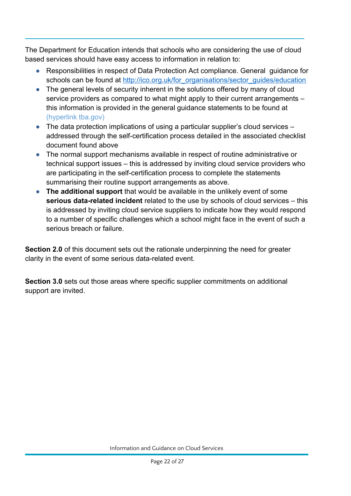The Department for Education intends that schools who are considering the use of cloud based services should have easy access to information in relation to:

- Responsibilities in respect of Data Protection Act compliance. General guidance for schools can be found at [http://ico.org.uk/for\\_organisations/sector\\_guides/education](http://ico.org.uk/for_organisations/sector_guides/education)
- The general levels of security inherent in the solutions offered by many of cloud service providers as compared to what might apply to their current arrangements – this information is provided in the general guidance statements to be found at (hyperlink tba.gov)
- The data protection implications of using a particular supplier's cloud services addressed through the self-certification process detailed in the associated checklist document found above
- The normal support mechanisms available in respect of routine administrative or technical support issues – this is addressed by inviting cloud service providers who are participating in the self-certification process to complete the statements summarising their routine support arrangements as above.
- **The additional support** that would be available in the unlikely event of some **serious data-related incident** related to the use by schools of cloud services – this is addressed by inviting cloud service suppliers to indicate how they would respond to a number of specific challenges which a school might face in the event of such a serious breach or failure.

**Section 2.0** of this document sets out the rationale underpinning the need for greater clarity in the event of some serious data-related event.

**Section 3.0** sets out those areas where specific supplier commitments on additional support are invited.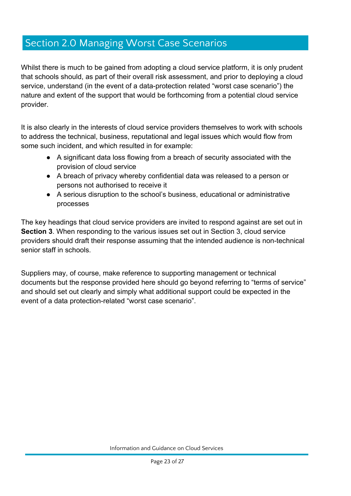## Section 2.0 Managing Worst Case Scenarios

Whilst there is much to be gained from adopting a cloud service platform, it is only prudent that schools should, as part of their overall risk assessment, and prior to deploying a cloud service, understand (in the event of a data-protection related "worst case scenario") the nature and extent of the support that would be forthcoming from a potential cloud service provider.

It is also clearly in the interests of cloud service providers themselves to work with schools to address the technical, business, reputational and legal issues which would flow from some such incident, and which resulted in for example:

- A significant data loss flowing from a breach of security associated with the provision of cloud service
- A breach of privacy whereby confidential data was released to a person or persons not authorised to receive it
- A serious disruption to the school's business, educational or administrative processes

The key headings that cloud service providers are invited to respond against are set out in **Section 3**. When responding to the various issues set out in Section 3, cloud service providers should draft their response assuming that the intended audience is non-technical senior staff in schools.

Suppliers may, of course, make reference to supporting management or technical documents but the response provided here should go beyond referring to "terms of service" and should set out clearly and simply what additional support could be expected in the event of a data protection-related "worst case scenario".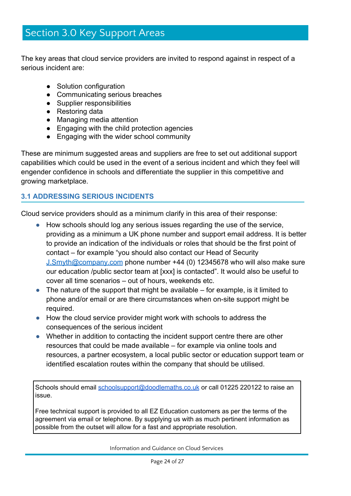## Section 3.0 Key Support Areas

The key areas that cloud service providers are invited to respond against in respect of a serious incident are:

- Solution configuration
- Communicating serious breaches
- Supplier responsibilities
- Restoring data
- Managing media attention
- Engaging with the child protection agencies
- Engaging with the wider school community

These are minimum suggested areas and suppliers are free to set out additional support capabilities which could be used in the event of a serious incident and which they feel will engender confidence in schools and differentiate the supplier in this competitive and growing marketplace.

#### **3.1 ADDRESSING SERIOUS INCIDENTS**

Cloud service providers should as a minimum clarify in this area of their response:

- How schools should log any serious issues regarding the use of the service, providing as a minimum a UK phone number and support email address. It is better to provide an indication of the individuals or roles that should be the first point of contact – for example "you should also contact our Head of Security [J.Smyth@company.com](mailto:J.Smyth@company.com) phone number +44 (0) 12345678 who will also make sure our education /public sector team at [xxx] is contacted". It would also be useful to cover all time scenarios – out of hours, weekends etc.
- $\bullet$  The nature of the support that might be available for example, is it limited to phone and/or email or are there circumstances when on-site support might be required.
- How the cloud service provider might work with schools to address the consequences of the serious incident
- Whether in addition to contacting the incident support centre there are other resources that could be made available – for example via online tools and resources, a partner ecosystem, a local public sector or education support team or identified escalation routes within the company that should be utilised.

Schools should email [schoolsupport@doodlemaths.co.uk](mailto:schoolsupport@doodlemaths.co.uk) or call 01225 220122 to raise an issue.

Free technical support is provided to all EZ Education customers as per the terms of the agreement via email or telephone. By supplying us with as much pertinent information as possible from the outset will allow for a fast and appropriate resolution.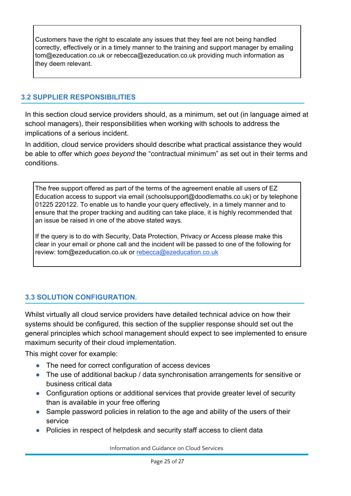Customers have the right to escalate any issues that they feel are not being handled correctly, effectively or in a timely manner to the training and support manager by emailing tom@ezeducation.co.uk or rebecca@ezeducation.co.uk providing much information as they deem relevant.

#### **3.2 SUPPLIER RESPONSIBILITIES**

In this section cloud service providers should, as a minimum, set out (in language aimed at school managers), their responsibilities when working with schools to address the implications of a serious incident.

In addition, cloud service providers should describe what practical assistance they would be able to offer which *goes beyond* the "contractual minimum" as set out in their terms and conditions.

The free support offered as part of the terms of the agreement enable all users of EZ Education access to support via email (schoolsupport@doodlemaths.co.uk) or by telephone 01225 220122. To enable us to handle your query effectively, in a timely manner and to ensure that the proper tracking and auditing can take place, it is highly recommended that an issue be raised in one of the above stated ways.

If the query is to do with Security, Data Protection, Privacy or Access please make this clear in your email or phone call and the incident will be passed to one of the following for review: tom@ezeducation.co.uk or [rebecca@ezeducation.co.uk](mailto:rebecca@ezeducation.co.uk)

#### **3.3 SOLUTION CONFIGURATION.**

Whilst virtually all cloud service providers have detailed technical advice on how their systems should be configured, this section of the supplier response should set out the general principles which school management should expect to see implemented to ensure maximum security of their cloud implementation.

This might cover for example:

- The need for correct configuration of access devices
- The use of additional backup / data synchronisation arrangements for sensitive or business critical data
- Configuration options or additional services that provide greater level of security than is available in your free offering
- Sample password policies in relation to the age and ability of the users of their service
- Policies in respect of helpdesk and security staff access to client data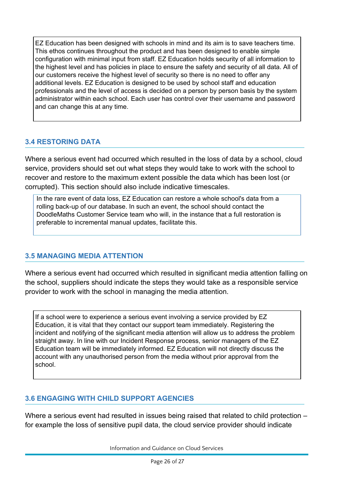EZ Education has been designed with schools in mind and its aim is to save teachers time. This ethos continues throughout the product and has been designed to enable simple configuration with minimal input from staff. EZ Education holds security of all information to the highest level and has policies in place to ensure the safety and security of all data. All of our customers receive the highest level of security so there is no need to offer any additional levels. EZ Education is designed to be used by school staff and education professionals and the level of access is decided on a person by person basis by the system administrator within each school. Each user has control over their username and password and can change this at any time.

#### **3.4 RESTORING DATA**

Where a serious event had occurred which resulted in the loss of data by a school, cloud service, providers should set out what steps they would take to work with the school to recover and restore to the maximum extent possible the data which has been lost (or corrupted). This section should also include indicative timescales.

In the rare event of data loss, EZ Education can restore a whole school's data from a rolling back-up of our database. In such an event, the school should contact the DoodleMaths Customer Service team who will, in the instance that a full restoration is preferable to incremental manual updates, facilitate this.

#### **3.5 MANAGING MEDIA ATTENTION**

Where a serious event had occurred which resulted in significant media attention falling on the school, suppliers should indicate the steps they would take as a responsible service provider to work with the school in managing the media attention.

If a school were to experience a serious event involving a service provided by EZ Education, it is vital that they contact our support team immediately. Registering the incident and notifying of the significant media attention will allow us to address the problem straight away. In line with our Incident Response process, senior managers of the EZ Education team will be immediately informed. EZ Education will not directly discuss the account with any unauthorised person from the media without prior approval from the school.

#### **3.6 ENGAGING WITH CHILD SUPPORT AGENCIES**

Where a serious event had resulted in issues being raised that related to child protection – for example the loss of sensitive pupil data, the cloud service provider should indicate